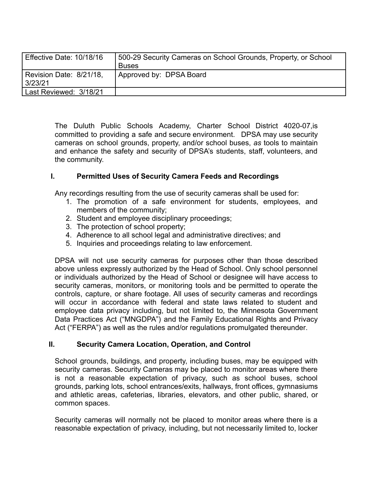| Effective Date: 10/18/16           | 500-29 Security Cameras on School Grounds, Property, or School<br><b>Buses</b> |
|------------------------------------|--------------------------------------------------------------------------------|
| Revision Date: 8/21/18,<br>3/23/21 | Approved by: DPSA Board                                                        |
| Last Reviewed: 3/18/21             |                                                                                |

The Duluth Public Schools Academy, Charter School District 4020-07,is committed to providing a safe and secure environment. DPSA may use security cameras on school grounds, property, and/or school buses, *as* tools to maintain and enhance the safety and security of DPSA's students, staff, volunteers, and the community.

## **I. Permitted Uses of Security Camera Feeds and Recordings**

Any recordings resulting from the use of security cameras shall be used for:

- 1. The promotion of a safe environment for students, employees, and members of the community;
- 2. Student and employee disciplinary proceedings;
- 3. The protection of school property;
- 4. Adherence to all school legal and administrative directives; and
- 5. Inquiries and proceedings relating to law enforcement.

DPSA will not use security cameras for purposes other than those described above unless expressly authorized by the Head of School. Only school personnel or individuals authorized by the Head of School or designee will have access to security cameras, monitors, or monitoring tools and be permitted to operate the controls, capture, or share footage. All uses of security cameras and recordings will occur in accordance with federal and state laws related to student and employee data privacy including, but not limited to, the Minnesota Government Data Practices Act ("MNGDPA") and the Family Educational Rights and Privacy Act ("FERPA") as well as the rules and/or regulations promulgated thereunder.

#### **II. Security Camera Location, Operation, and Control**

School grounds, buildings, and property, including buses, may be equipped with security cameras. Security Cameras may be placed to monitor areas where there is not a reasonable expectation of privacy, such as school buses, school grounds, parking lots, school entrances/exits, hallways, front offices, gymnasiums and athletic areas, cafeterias, libraries, elevators, and other public, shared, or common spaces.

Security cameras will normally not be placed to monitor areas where there is a reasonable expectation of privacy, including, but not necessarily limited to, locker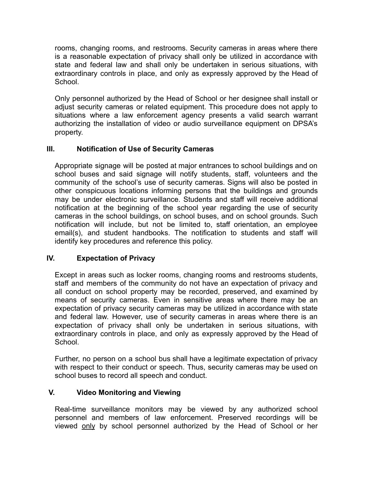rooms, changing rooms, and restrooms. Security cameras in areas where there is a reasonable expectation of privacy shall only be utilized in accordance with state and federal law and shall only be undertaken in serious situations, with extraordinary controls in place, and only as expressly approved by the Head of School.

Only personnel authorized by the Head of School or her designee shall install or adjust security cameras or related equipment. This procedure does not apply to situations where a law enforcement agency presents a valid search warrant authorizing the installation of video or audio surveillance equipment on DPSA's property.

# **III. Notification of Use of Security Cameras**

Appropriate signage will be posted at major entrances to school buildings and on school buses and said signage will notify students, staff, volunteers and the community of the school's use of security cameras. Signs will also be posted in other conspicuous locations informing persons that the buildings and grounds may be under electronic surveillance. Students and staff will receive additional notification at the beginning of the school year regarding the use of security cameras in the school buildings, on school buses, and on school grounds. Such notification will include, but not be limited to, staff orientation, an employee email(s), and student handbooks. The notification to students and staff will identify key procedures and reference this policy.

# **IV. Expectation of Privacy**

Except in areas such as locker rooms, changing rooms and restrooms students, staff and members of the community do not have an expectation of privacy and all conduct on school property may be recorded, preserved, and examined by means of security cameras. Even in sensitive areas where there may be an expectation of privacy security cameras may be utilized in accordance with state and federal law. However, use of security cameras in areas where there is an expectation of privacy shall only be undertaken in serious situations, with extraordinary controls in place, and only as expressly approved by the Head of School.

Further, no person on a school bus shall have a legitimate expectation of privacy with respect to their conduct or speech. Thus, security cameras may be used on school buses to record all speech and conduct.

## **V. Video Monitoring and Viewing**

Real-time surveillance monitors may be viewed by any authorized school personnel and members of law enforcement. Preserved recordings will be viewed only by school personnel authorized by the Head of School or her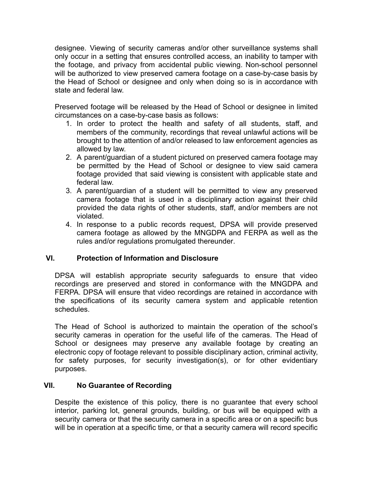designee. Viewing of security cameras and/or other surveillance systems shall only occur in a setting that ensures controlled access, an inability to tamper with the footage, and privacy from accidental public viewing. Non-school personnel will be authorized to view preserved camera footage on a case-by-case basis by the Head of School or designee and only when doing so is in accordance with state and federal law.

Preserved footage will be released by the Head of School or designee in limited circumstances on a case-by-case basis as follows:

- 1. In order to protect the health and safety of all students, staff, and members of the community, recordings that reveal unlawful actions will be brought to the attention of and/or released to law enforcement agencies as allowed by law.
- 2. A parent/guardian of a student pictured on preserved camera footage may be permitted by the Head of School or designee to view said camera footage provided that said viewing is consistent with applicable state and federal law.
- 3. A parent/guardian of a student will be permitted to view any preserved camera footage that is used in a disciplinary action against their child provided the data rights of other students, staff, and/or members are not violated.
- 4. In response to a public records request, DPSA will provide preserved camera footage as allowed by the MNGDPA and FERPA as well as the rules and/or regulations promulgated thereunder.

## **VI. Protection of Information and Disclosure**

DPSA will establish appropriate security safeguards to ensure that video recordings are preserved and stored in conformance with the MNGDPA and FERPA. DPSA will ensure that video recordings are retained in accordance with the specifications of its security camera system and applicable retention schedules.

The Head of School is authorized to maintain the operation of the school's security cameras in operation for the useful life of the cameras. The Head of School or designees may preserve any available footage by creating an electronic copy of footage relevant to possible disciplinary action, criminal activity, for safety purposes, for security investigation(s), or for other evidentiary purposes.

## **VII. No Guarantee of Recording**

Despite the existence of this policy, there is no guarantee that every school interior, parking lot, general grounds, building, or bus will be equipped with a security camera or that the security camera in a specific area or on a specific bus will be in operation at a specific time, or that a security camera will record specific